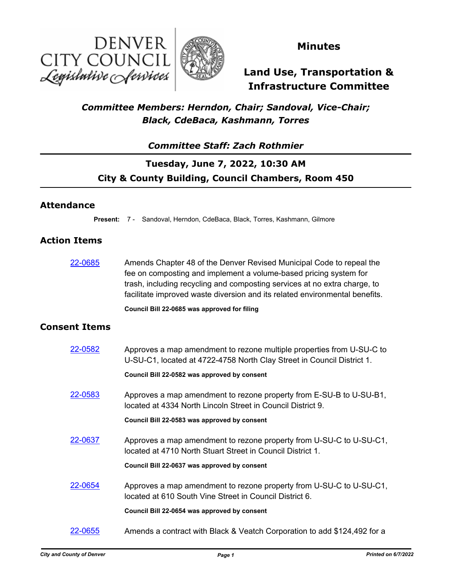



## **Minutes**

# **Land Use, Transportation & Infrastructure Committee**

## *Committee Members: Herndon, Chair; Sandoval, Vice-Chair; Black, CdeBaca, Kashmann, Torres*

### *Committee Staff: Zach Rothmier*

## **Tuesday, June 7, 2022, 10:30 AM City & County Building, Council Chambers, Room 450**

### **Attendance**

**Present:** 7 - Sandoval, Herndon, CdeBaca, Black, Torres, Kashmann, Gilmore

### **Action Items**

[22-0685](http://denver.legistar.com/gateway.aspx?m=l&id=/matter.aspx?key=21752) Amends Chapter 48 of the Denver Revised Municipal Code to repeal the fee on composting and implement a volume-based pricing system for trash, including recycling and composting services at no extra charge, to facilitate improved waste diversion and its related environmental benefits.

### **Council Bill 22-0685 was approved for filing**

### **Consent Items**

| 22-0582 | Approves a map amendment to rezone multiple properties from U-SU-C to<br>U-SU-C1, located at 4722-4758 North Clay Street in Council District 1. |
|---------|-------------------------------------------------------------------------------------------------------------------------------------------------|
|         | Council Bill 22-0582 was approved by consent                                                                                                    |
| 22-0583 | Approves a map amendment to rezone property from E-SU-B to U-SU-B1,<br>located at 4334 North Lincoln Street in Council District 9.              |
|         | Council Bill 22-0583 was approved by consent                                                                                                    |
| 22-0637 | Approves a map amendment to rezone property from U-SU-C to U-SU-C1,<br>located at 4710 North Stuart Street in Council District 1.               |
|         | Council Bill 22-0637 was approved by consent                                                                                                    |
| 22-0654 | Approves a map amendment to rezone property from U-SU-C to U-SU-C1,<br>located at 610 South Vine Street in Council District 6.                  |
|         | Council Bill 22-0654 was approved by consent                                                                                                    |
| 22-0655 | Amends a contract with Black & Veatch Corporation to add \$124,492 for a                                                                        |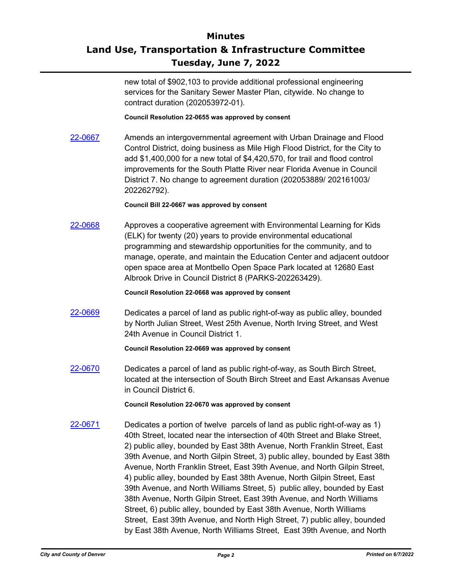# **Minutes Land Use, Transportation & Infrastructure Committee Tuesday, June 7, 2022**

new total of \$902,103 to provide additional professional engineering services for the Sanitary Sewer Master Plan, citywide. No change to contract duration (202053972-01).

### **Council Resolution 22-0655 was approved by consent**

[22-0667](http://denver.legistar.com/gateway.aspx?m=l&id=/matter.aspx?key=21734) Amends an intergovernmental agreement with Urban Drainage and Flood Control District, doing business as Mile High Flood District, for the City to add \$1,400,000 for a new total of \$4,420,570, for trail and flood control improvements for the South Platte River near Florida Avenue in Council District 7. No change to agreement duration (202053889/ 202161003/ 202262792).

### **Council Bill 22-0667 was approved by consent**

[22-0668](http://denver.legistar.com/gateway.aspx?m=l&id=/matter.aspx?key=21735) Approves a cooperative agreement with Environmental Learning for Kids (ELK) for twenty (20) years to provide environmental educational programming and stewardship opportunities for the community, and to manage, operate, and maintain the Education Center and adjacent outdoor open space area at Montbello Open Space Park located at 12680 East Albrook Drive in Council District 8 (PARKS-202263429).

#### **Council Resolution 22-0668 was approved by consent**

[22-0669](http://denver.legistar.com/gateway.aspx?m=l&id=/matter.aspx?key=21736) Dedicates a parcel of land as public right-of-way as public alley, bounded by North Julian Street, West 25th Avenue, North Irving Street, and West 24th Avenue in Council District 1.

### **Council Resolution 22-0669 was approved by consent**

[22-0670](http://denver.legistar.com/gateway.aspx?m=l&id=/matter.aspx?key=21737) Dedicates a parcel of land as public right-of-way, as South Birch Street, located at the intersection of South Birch Street and East Arkansas Avenue in Council District 6.

#### **Council Resolution 22-0670 was approved by consent**

[22-0671](http://denver.legistar.com/gateway.aspx?m=l&id=/matter.aspx?key=21738) Dedicates a portion of twelve parcels of land as public right-of-way as 1) 40th Street, located near the intersection of 40th Street and Blake Street, 2) public alley, bounded by East 38th Avenue, North Franklin Street, East 39th Avenue, and North Gilpin Street, 3) public alley, bounded by East 38th Avenue, North Franklin Street, East 39th Avenue, and North Gilpin Street, 4) public alley, bounded by East 38th Avenue, North Gilpin Street, East 39th Avenue, and North Williams Street, 5) public alley, bounded by East 38th Avenue, North Gilpin Street, East 39th Avenue, and North Williams Street, 6) public alley, bounded by East 38th Avenue, North Williams Street, East 39th Avenue, and North High Street, 7) public alley, bounded by East 38th Avenue, North Williams Street, East 39th Avenue, and North